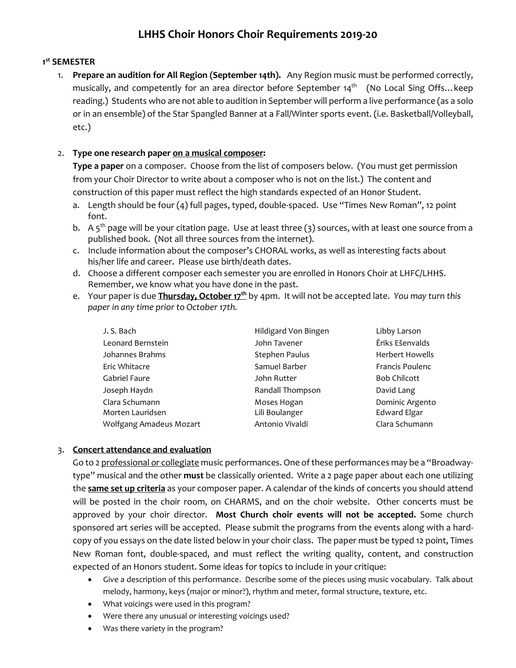# **LHHS Choir Honors Choir Requirements 2019-20**

## **1 st SEMESTER**

1. **Prepare an audition for All Region (September 14th).** Any Region music must be performed correctly, musically, and competently for an area director before September 14<sup>th</sup> (No Local Sing Offs... keep reading.) Students who are not able to audition in September will perform a live performance (as a solo or in an ensemble) of the Star Spangled Banner at a Fall/Winter sports event. (i.e. Basketball/Volleyball, etc.)

### 2. **Type one research paper on a musical composer:**

**Type a paper** on a composer. Choose from the list of composers below. (You must get permission from your Choir Director to write about a composer who is not on the list.) The content and construction of this paper must reflect the high standards expected of an Honor Student.

- a. Length should be four (4) full pages, typed, double-spaced. Use "Times New Roman", 12 point font.
- b. A  $5<sup>th</sup>$  page will be your citation page. Use at least three (3) sources, with at least one source from a published book. (Not all three sources from the internet).
- c. Include information about the composer's CHORAL works, as well as interesting facts about his/her life and career. Please use birth/death dates.
- d. Choose a different composer each semester you are enrolled in Honors Choir at LHFC/LHHS. Remember, we know what you have done in the past.
- e. Your paper is due **Thursday, October 17th** by 4pm. It will not be accepted late. *You may turn this paper in any time prior to October 17th.*

| J. S. Bach              | Hildigard Von Bingen | Libby Larson           |
|-------------------------|----------------------|------------------------|
| Leonard Bernstein       | John Tavener         | Ēriks Ešenvalds        |
| Johannes Brahms         | Stephen Paulus       | <b>Herbert Howells</b> |
| Eric Whitacre           | Samuel Barber        | Francis Poulenc        |
| Gabriel Faure           | John Rutter          | <b>Bob Chilcott</b>    |
| Joseph Haydn            | Randall Thompson     | David Lang             |
| Clara Schumann          | Moses Hogan          | Dominic Argento        |
| Morten Lauridsen        | Lili Boulanger       | <b>Edward Elgar</b>    |
| Wolfgang Amadeus Mozart | Antonio Vivaldi      | Clara Schumann         |

### 3. **Concert attendance and evaluation**

Go to 2 professional or collegiate music performances. One of these performances may be a "Broadwaytype" musical and the other **must** be classically oriented. Write a 2 page paper about each one utilizing the **same set up criteria** as your composer paper. A calendar of the kinds of concerts you should attend will be posted in the choir room, on CHARMS, and on the choir website. Other concerts must be approved by your choir director. **Most Church choir events will not be accepted.** Some church sponsored art series will be accepted. Please submit the programs from the events along with a hardcopy of you essays on the date listed below in your choir class. The paper must be typed 12 point, Times New Roman font, double-spaced, and must reflect the writing quality, content, and construction expected of an Honors student. Some ideas for topics to include in your critique:

- Give a description of this performance. Describe some of the pieces using music vocabulary. Talk about melody, harmony, keys (major or minor?), rhythm and meter, formal structure, texture, etc.
- What voicings were used in this program?
- Were there any unusual or interesting voicings used?
- Was there variety in the program?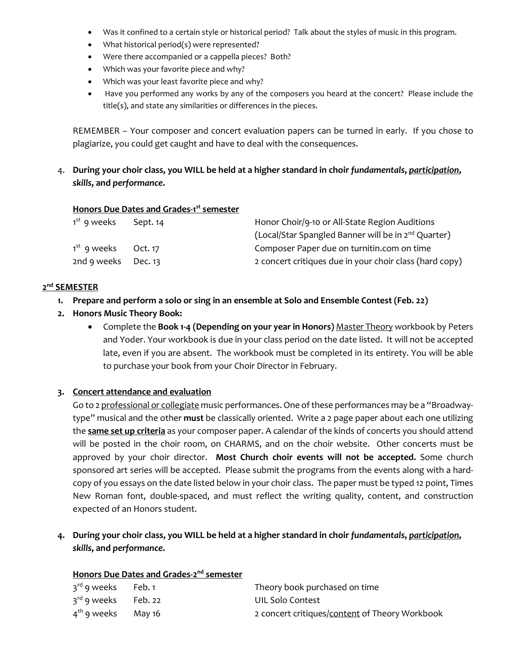- Was it confined to a certain style or historical period? Talk about the styles of music in this program.
- What historical period(s) were represented?
- Were there accompanied or a cappella pieces? Both?
- Which was your favorite piece and why?
- Which was your least favorite piece and why?
- Have you performed any works by any of the composers you heard at the concert? Please include the title(s), and state any similarities or differences in the pieces.

REMEMBER – Your composer and concert evaluation papers can be turned in early. If you chose to plagiarize, you could get caught and have to deal with the consequences.

4. **During your choir class, you WILL be held at a higher standard in choir** *fundamentals***,** *participation***,**  *skills***, and** *performance***.**

#### **Honors Due Dates and Grades-1 st semester**

| 1 <sup>st</sup> 9 weeks | Sept. 14 | Honor Choir/9-10 or All-State Region Auditions                  |  |
|-------------------------|----------|-----------------------------------------------------------------|--|
|                         |          | (Local/Star Spangled Banner will be in 2 <sup>nd</sup> Quarter) |  |
| 1 <sup>st</sup> 9 weeks | Oct. 17  | Composer Paper due on turnitin.com on time                      |  |
| 2nd 9 weeks Dec. 13     |          | 2 concert critiques due in your choir class (hard copy)         |  |

#### **2nd SEMESTER**

- **1. Prepare and perform a solo or sing in an ensemble at Solo and Ensemble Contest (Feb. 22)**
- **2. Honors Music Theory Book:**
	- Complete the **Book 1-4 (Depending on your year in Honors)** Master Theory workbook by Peters and Yoder. Your workbook is due in your class period on the date listed. It will not be accepted late, even if you are absent. The workbook must be completed in its entirety. You will be able to purchase your book from your Choir Director in February.

#### **3. Concert attendance and evaluation**

Go to 2 professional or collegiate music performances. One of these performances may be a "Broadwaytype" musical and the other **must** be classically oriented. Write a 2 page paper about each one utilizing the **same set up criteria** as your composer paper. A calendar of the kinds of concerts you should attend will be posted in the choir room, on CHARMS, and on the choir website. Other concerts must be approved by your choir director. **Most Church choir events will not be accepted.** Some church sponsored art series will be accepted. Please submit the programs from the events along with a hardcopy of you essays on the date listed below in your choir class. The paper must be typed 12 point, Times New Roman font, double-spaced, and must reflect the writing quality, content, and construction expected of an Honors student.

**4. During your choir class, you WILL be held at a higher standard in choir** *fundamentals***,** *participation***,**  *skills***, and** *performance***.**

| $3rd$ 9 weeks Feb. 1  | Theory book purchased on time                  |
|-----------------------|------------------------------------------------|
| $3rd$ 9 weeks Feb. 22 | UIL Solo Contest                               |
| $4th$ 9 weeks May 16  | 2 concert critiques/content of Theory Workbook |

# **Honors Due Dates and Grades-2nd semester**